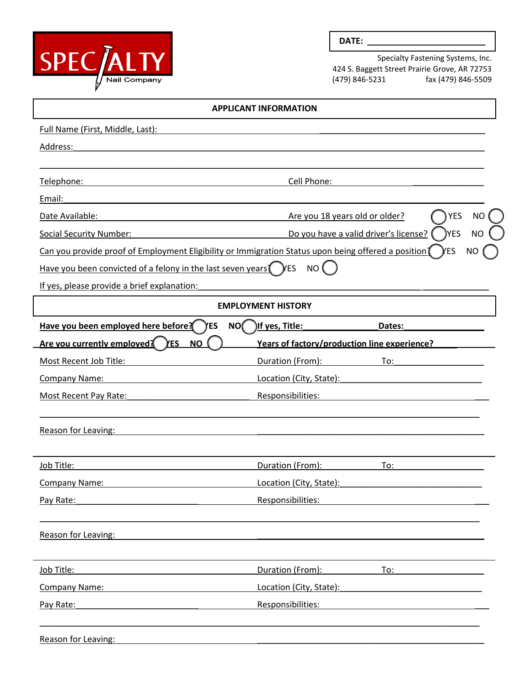

## **DATE: \_\_\_\_\_\_\_\_\_\_\_\_\_\_\_\_\_\_\_\_\_\_\_\_\_**

Specialty Fastening Systems, Inc. 424 S. Baggett Street Prairie Grove, AR 72753 fax (479) 846-5509

| <b>APPLICANT INFORMATION</b>                                                                        |                                              |                                                                                                                 |  |
|-----------------------------------------------------------------------------------------------------|----------------------------------------------|-----------------------------------------------------------------------------------------------------------------|--|
| Full Name (First, Middle, Last):                                                                    |                                              |                                                                                                                 |  |
| Address:                                                                                            |                                              |                                                                                                                 |  |
|                                                                                                     |                                              |                                                                                                                 |  |
| Telephone:                                                                                          | Cell Phone:                                  |                                                                                                                 |  |
| Email:                                                                                              |                                              |                                                                                                                 |  |
| Date Available:                                                                                     | Are you 18 years old or older?               | <b>YES</b><br><b>NO</b>                                                                                         |  |
| <b>Social Security Number:</b>                                                                      |                                              | )YES<br>Do you have a valid driver's license?<br>ΝO                                                             |  |
| Can you provide proof of Employment Eligibility or Immigration Status upon being offered a position |                                              | yes<br>NO                                                                                                       |  |
| Have you been convicted of a felony in the last seven years (YES                                    | NO (                                         |                                                                                                                 |  |
| If yes, please provide a brief explanation:                                                         |                                              |                                                                                                                 |  |
|                                                                                                     | <b>EMPLOYMENT HISTORY</b>                    |                                                                                                                 |  |
| Have you been employed here before? (YES                                                            | $NO($ ) If yes, Title:                       | Dates:                                                                                                          |  |
| <u>Are you currently employed? YES</u><br><b>NO</b>                                                 | Years of factory/production line experience? |                                                                                                                 |  |
| Most Recent Job Title:                                                                              | Duration (From):                             | To:                                                                                                             |  |
| Company Name:                                                                                       | Location (City, State):                      |                                                                                                                 |  |
| <b>Most Recent Pay Rate:</b>                                                                        | Responsibilities:                            |                                                                                                                 |  |
| <b>Reason for Leaving:</b>                                                                          |                                              |                                                                                                                 |  |
| Job Title:                                                                                          | Duration (From):                             | To:                                                                                                             |  |
| <b>Company Name:</b>                                                                                | Location (City, State):                      |                                                                                                                 |  |
| Pay Rate:                                                                                           | Responsibilities:                            |                                                                                                                 |  |
| Reason for Leaving:                                                                                 |                                              |                                                                                                                 |  |
| Job Title:                                                                                          | Duration (From):                             | To:                                                                                                             |  |
| Company Name:                                                                                       |                                              | Location (City, State): Management City and City and City and City and City and City and City and City and City |  |
|                                                                                                     |                                              |                                                                                                                 |  |